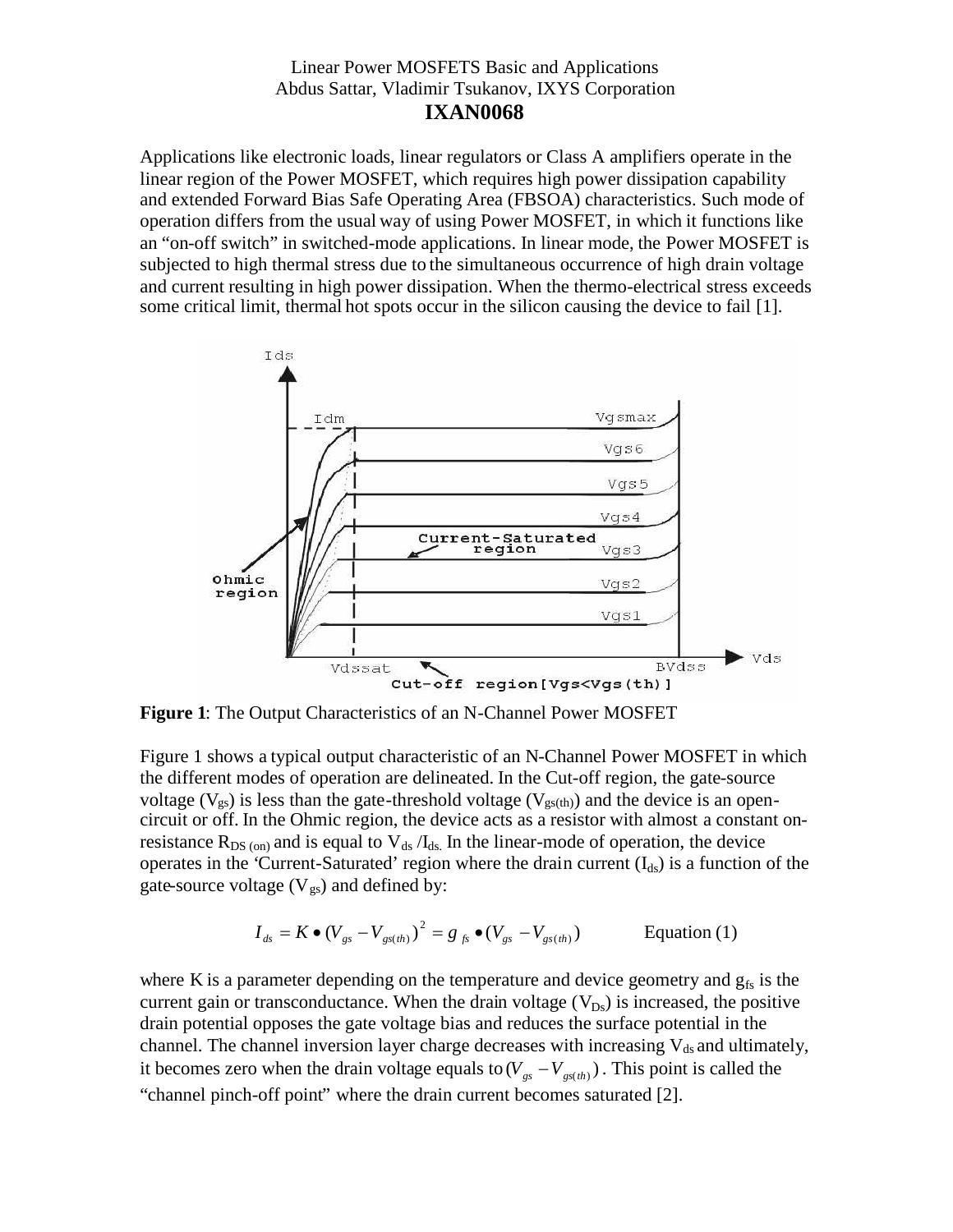Applications like electronic loads, linear regulators or Class A amplifiers operate in the linear region of the Power MOSFET, which requires high power dissipation capability and extended Forward Bias Safe Operating Area (FBSOA) characteristics. Such mode of operation differs from the usual way of using Power MOSFET, in which it functions like an "on-off switch" in switched-mode applications. In linear mode, the Power MOSFET is subjected to high thermal stress due to the simultaneous occurrence of high drain voltage and current resulting in high power dissipation. When the thermo-electrical stress exceeds some critical limit, thermal hot spots occur in the silicon causing the device to fail [1].



**Figure 1**: The Output Characteristics of an N-Channel Power MOSFET

Figure 1 shows a typical output characteristic of an N-Channel Power MOSFET in which the different modes of operation are delineated. In the Cut-off region, the gate-source voltage ( $V_{gs}$ ) is less than the gate-threshold voltage ( $V_{gs(th)}$ ) and the device is an opencircuit or off. In the Ohmic region, the device acts as a resistor with almost a constant onresistance  $R_{DS (on)}$  and is equal to  $V_{ds}/I_{ds}$ . In the linear-mode of operation, the device operates in the 'Current-Saturated' region where the drain current  $(I_{ds})$  is a function of the gate-source voltage  $(V_{gs})$  and defined by:

$$
I_{ds} = K \bullet (V_{gs} - V_{gs(th)})^2 = g_{fs} \bullet (V_{gs} - V_{gs(th)})
$$
 Equation (1)

where K is a parameter depending on the temperature and device geometry and  $g_{fs}$  is the current gain or transconductance. When the drain voltage  $(V_{Ds})$  is increased, the positive drain potential opposes the gate voltage bias and reduces the surface potential in the channel. The channel inversion layer charge decreases with increasing  $V_{ds}$  and ultimately, it becomes zero when the drain voltage equals to  $(V_{gs} - V_{gs(th)} )$ . This point is called the "channel pinch-off point" where the drain current becomes saturated [2].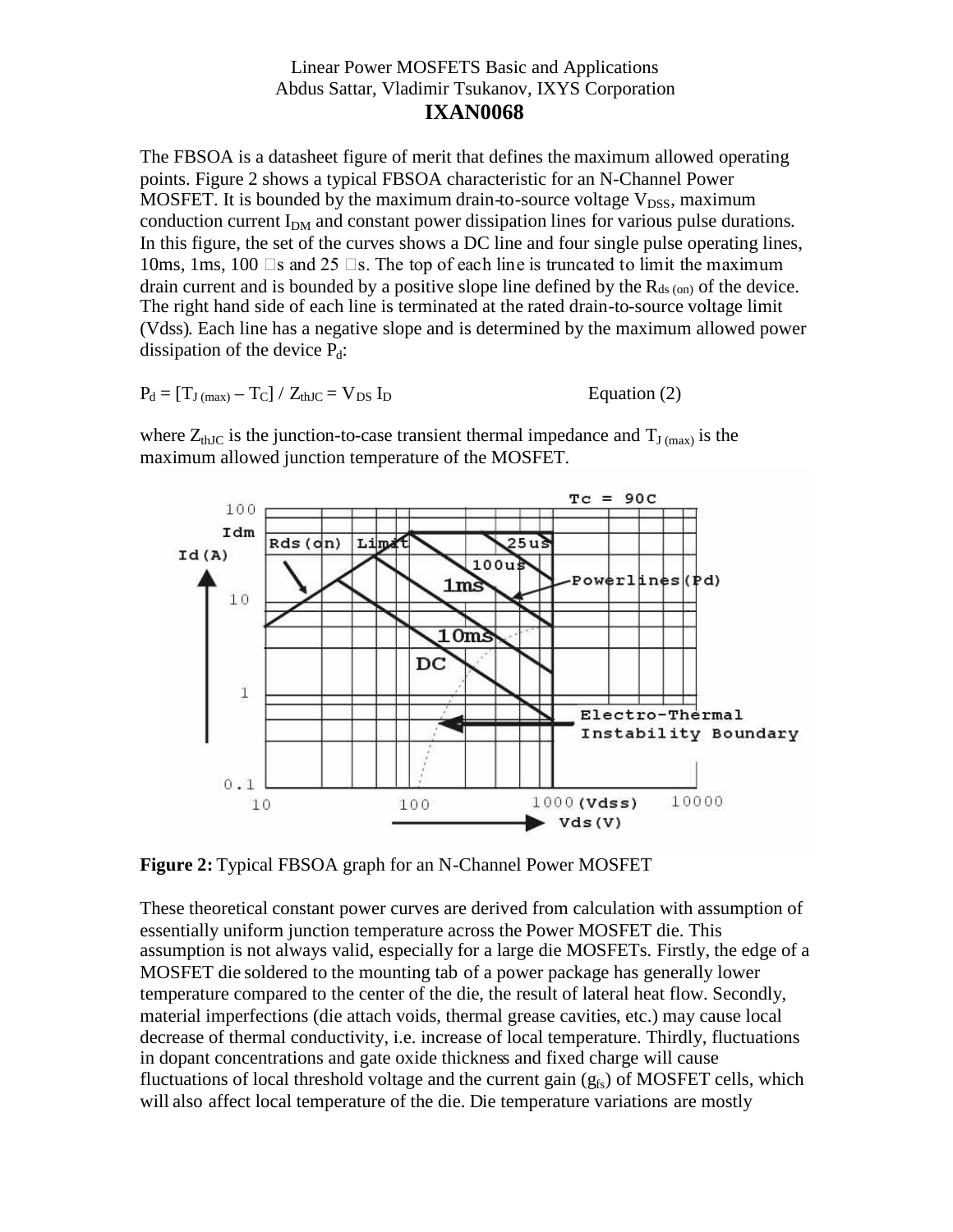The FBSOA is a datasheet figure of merit that defines the maximum allowed operating points. Figure 2 shows a typical FBSOA characteristic for an N-Channel Power MOSFET. It is bounded by the maximum drain-to-source voltage  $V_{DSS}$ , maximum conduction current  $I_{DM}$  and constant power dissipation lines for various pulse durations. In this figure, the set of the curves shows a DC line and four single pulse operating lines, 10ms, 1ms, 100  $\Box$ s and 25  $\Box$ s. The top of each line is truncated to limit the maximum drain current and is bounded by a positive slope line defined by the  $R_{ds (on)}$  of the device. The right hand side of each line is terminated at the rated drain-to-source voltage limit (Vdss). Each line has a negative slope and is determined by the maximum allowed power dissipation of the device  $P_d$ :

$$
P_d = [T_{J \text{ (max)}} - T_C] / Z_{thJC} = V_{DS} I_D
$$
 Equation (2)

where  $Z_{thJC}$  is the junction-to-case transient thermal impedance and  $T_{J (max)}$  is the maximum allowed junction temperature of the MOSFET.



**Figure 2:** Typical FBSOA graph for an N-Channel Power MOSFET

These theoretical constant power curves are derived from calculation with assumption of essentially uniform junction temperature across the Power MOSFET die. This assumption is not always valid, especially for a large die MOSFETs. Firstly, the edge of a MOSFET die soldered to the mounting tab of a power package has generally lower temperature compared to the center of the die, the result of lateral heat flow. Secondly, material imperfections (die attach voids, thermal grease cavities, etc.) may cause local decrease of thermal conductivity, i.e. increase of local temperature. Thirdly, fluctuations in dopant concentrations and gate oxide thickness and fixed charge will cause fluctuations of local threshold voltage and the current gain  $(g<sub>fs</sub>)$  of MOSFET cells, which will also affect local temperature of the die. Die temperature variations are mostly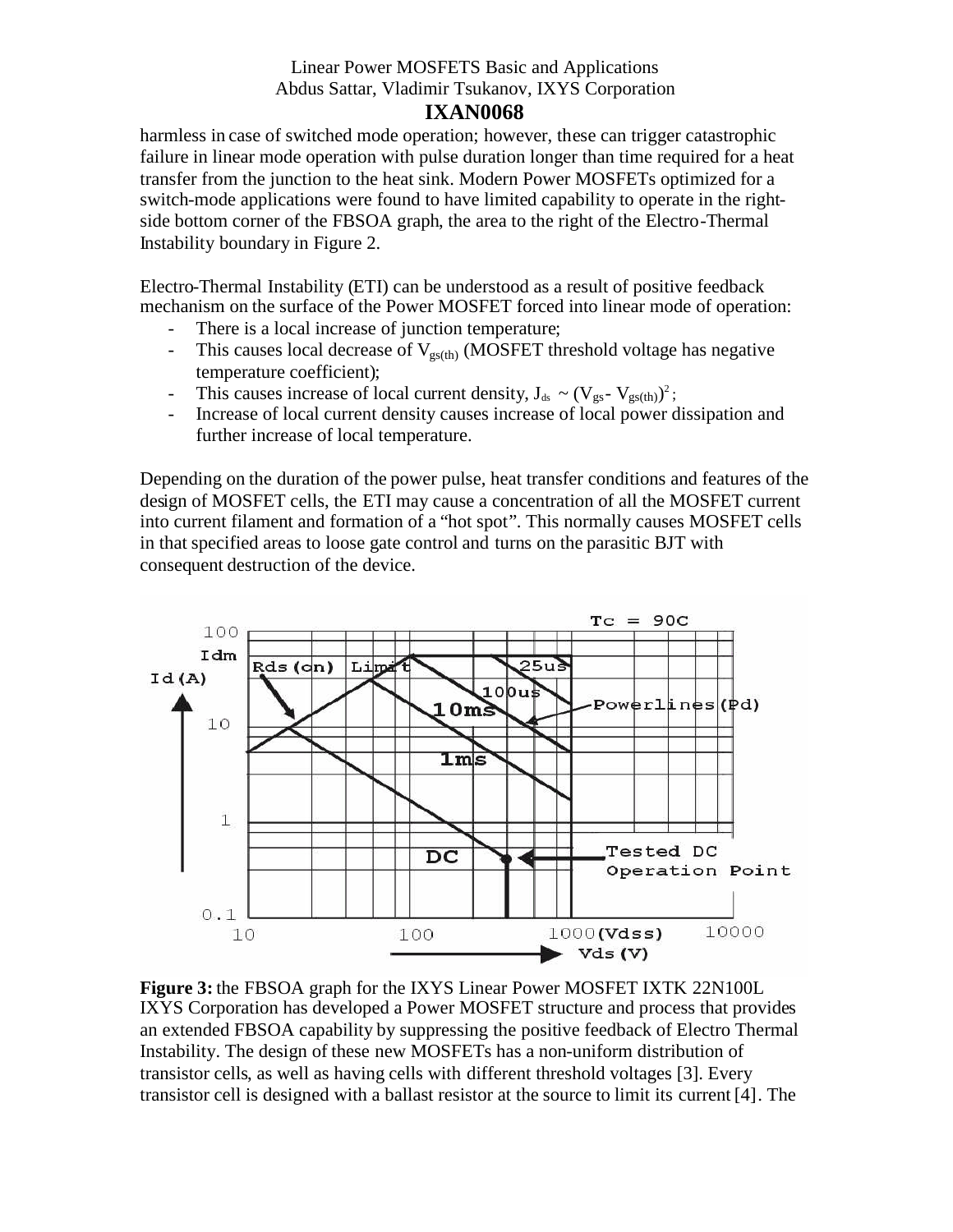### **IXAN0068**

harmless in case of switched mode operation; however, these can trigger catastrophic failure in linear mode operation with pulse duration longer than time required for a heat transfer from the junction to the heat sink. Modern Power MOSFETs optimized for a switch-mode applications were found to have limited capability to operate in the rightside bottom corner of the FBSOA graph, the area to the right of the Electro-Thermal Instability boundary in Figure 2.

Electro-Thermal Instability (ETI) can be understood as a result of positive feedback mechanism on the surface of the Power MOSFET forced into linear mode of operation:

- There is a local increase of junction temperature;
- This causes local decrease of  $V_{\text{est(h)}}$  (MOSFET threshold voltage has negative temperature coefficient);
- This causes increase of local current density,  $J_{ds} \sim (V_{gs} V_{gs(th)})^2$ ;
- Increase of local current density causes increase of local power dissipation and further increase of local temperature.

Depending on the duration of the power pulse, heat transfer conditions and features of the design of MOSFET cells, the ETI may cause a concentration of all the MOSFET current into current filament and formation of a "hot spot". This normally causes MOSFET cells in that specified areas to loose gate control and turns on the parasitic BJT with consequent destruction of the device.



**Figure 3:** the FBSOA graph for the IXYS Linear Power MOSFET IXTK 22N100L IXYS Corporation has developed a Power MOSFET structure and process that provides an extended FBSOA capability by suppressing the positive feedback of Electro Thermal Instability. The design of these new MOSFETs has a non-uniform distribution of transistor cells, as well as having cells with different threshold voltages [3]. Every transistor cell is designed with a ballast resistor at the source to limit its current [4]. The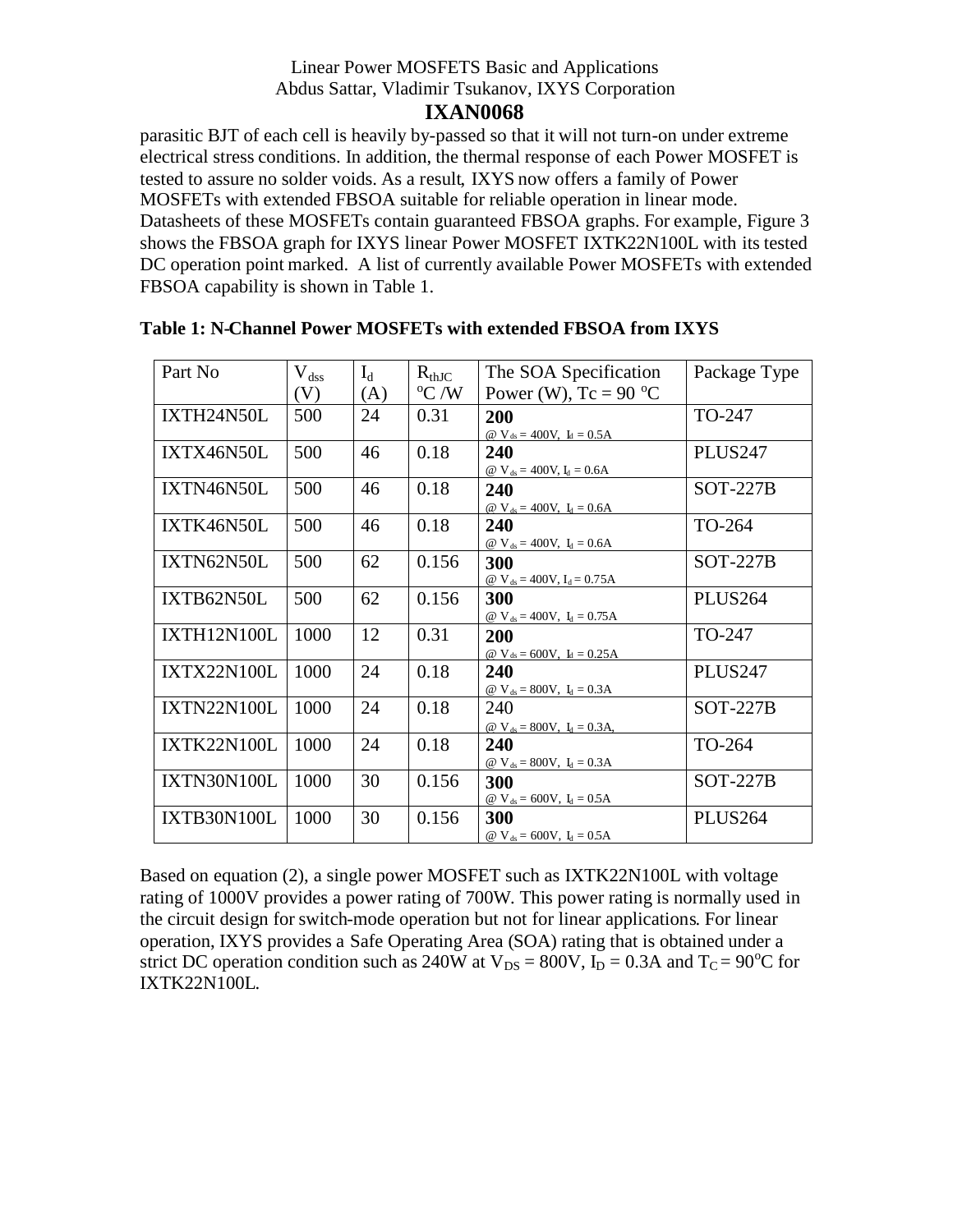# **IXAN0068**

parasitic BJT of each cell is heavily by-passed so that it will not turn-on under extreme electrical stress conditions. In addition, the thermal response of each Power MOSFET is tested to assure no solder voids. As a result, IXYS now offers a family of Power MOSFETs with extended FBSOA suitable for reliable operation in linear mode. Datasheets of these MOSFETs contain guaranteed FBSOA graphs. For example, Figure 3 shows the FBSOA graph for IXYS linear Power MOSFET IXTK22N100L with its tested DC operation point marked. A list of currently available Power MOSFETs with extended FBSOA capability is shown in Table 1.

| Part No            | $\rm V_{dss}$ | $I_d$ | $R_{thJC}$     | The SOA Specification              | Package Type        |
|--------------------|---------------|-------|----------------|------------------------------------|---------------------|
|                    | (V)           | (A)   | $\rm ^{o}C$ /W | Power (W), $Tc = 90 °C$            |                     |
|                    |               |       |                |                                    |                     |
| IXTH24N50L         | 500           | 24    | 0.31           | 200                                | TO-247              |
|                    |               |       |                | @ $V_{ds} = 400V$ , $I_d = 0.5A$   |                     |
| IXTX46N50L         | 500           | 46    | 0.18           | 240                                | PLUS <sub>247</sub> |
|                    |               |       |                | @ $V_{ds} = 400V$ , $I_d = 0.6A$   |                     |
| IXTN46N50L         | 500           | 46    | 0.18           | 240                                | $SOT-227B$          |
|                    |               |       |                | @ $V_{ds} = 400V$ , $I_d = 0.6A$   |                     |
| IXTK46N50L         | 500           | 46    | 0.18           | 240                                | TO-264              |
|                    |               |       |                | @ $V_{ds} = 400V$ , $I_d = 0.6A$   |                     |
| IXTN62N50L         | 500           | 62    | 0.156          | 300                                | $SOT-227B$          |
|                    |               |       |                | @ $V_{ds} = 400V$ , $I_d = 0.75A$  |                     |
| IXTB62N50L         | 500           | 62    | 0.156          | 300                                | <b>PLUS264</b>      |
|                    |               |       |                | @ $V_{ds} = 400V$ , $I_d = 0.75A$  |                     |
| <b>IXTH12N100L</b> | 1000          | 12    | 0.31           | 200                                | TO-247              |
|                    |               |       |                | @ $V_{ds} = 600V$ , $I_d = 0.25A$  |                     |
| <b>IXTX22N100L</b> | 1000          | 24    | 0.18           | 240                                | PLUS <sub>247</sub> |
|                    |               |       |                | @ $V_{ds} = 800V$ , $I_d = 0.3A$   |                     |
| <b>IXTN22N100L</b> | 1000          | 24    | 0.18           | 240                                | <b>SOT-227B</b>     |
|                    |               |       |                |                                    |                     |
|                    |               |       |                | @ $V_{ds} = 800V$ , $I_d = 0.3A$ , |                     |
| <b>IXTK22N100L</b> | 1000          | 24    | 0.18           | 240                                | TO-264              |
|                    |               |       |                | @ $V_{ds} = 800V$ , $I_d = 0.3A$   |                     |
| <b>IXTN30N100L</b> | 1000          | 30    | 0.156          | 300                                | $SOT-227B$          |
|                    |               |       |                | @ $V_{ds} = 600V$ , $I_d = 0.5A$   |                     |
| IXTB30N100L        | 1000          | 30    | 0.156          | 300                                | PLUS <sub>264</sub> |
|                    |               |       |                | @ $V_{ds} = 600V$ , $I_d = 0.5A$   |                     |

|  | Table 1: N-Channel Power MOSFETs with extended FBSOA from IXYS |  |
|--|----------------------------------------------------------------|--|
|--|----------------------------------------------------------------|--|

Based on equation (2), a single power MOSFET such as IXTK22N100L with voltage rating of 1000V provides a power rating of 700W. This power rating is normally used in the circuit design for switch-mode operation but not for linear applications. For linear operation, IXYS provides a Safe Operating Area (SOA) rating that is obtained under a strict DC operation condition such as 240W at  $V_{DS} = 800V$ ,  $\tilde{I_D} = 0.3A$  and  $T_C = 90^{\circ}C$  for IXTK22N100L.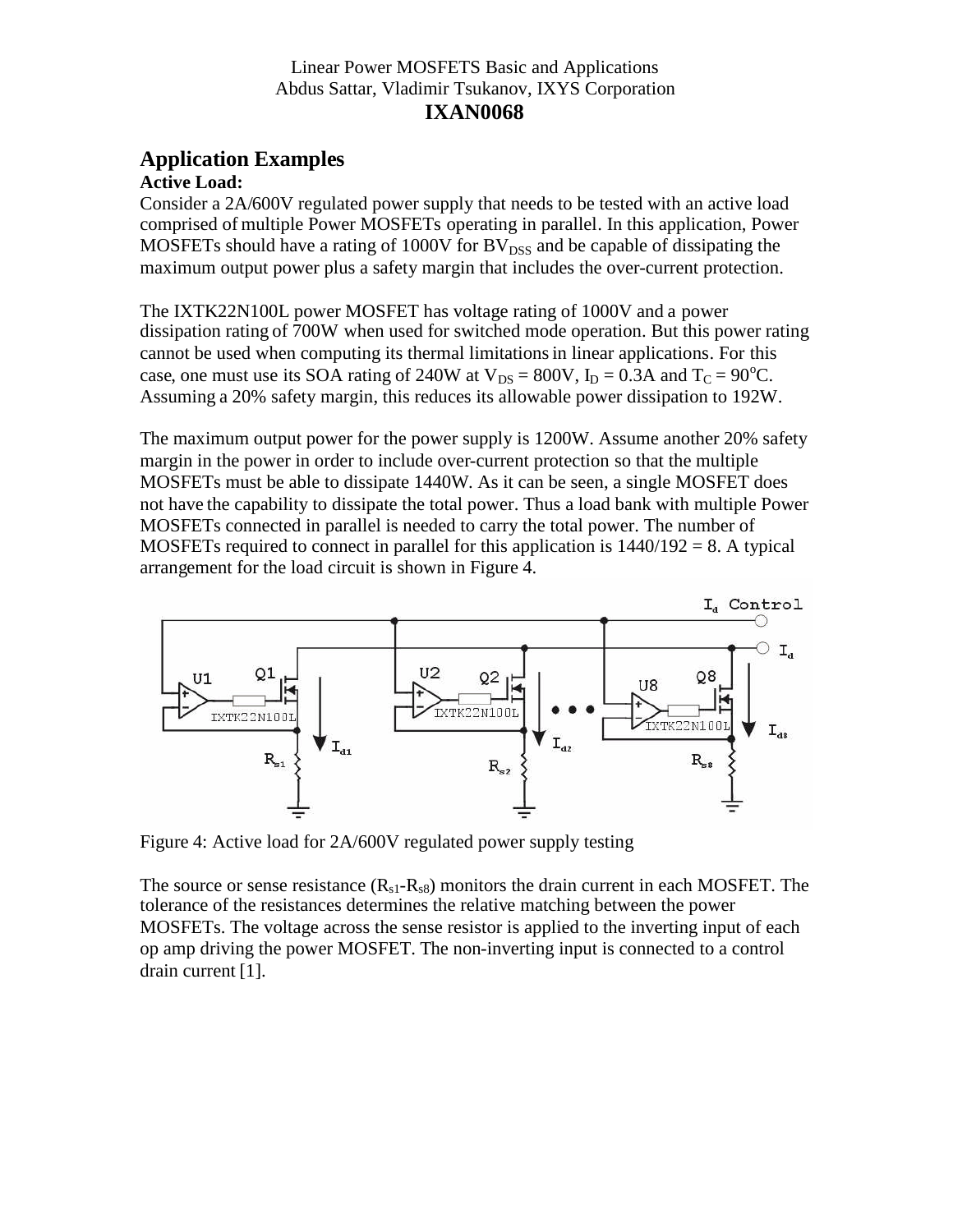### **Application Examples Active Load:**

Consider a 2A/600V regulated power supply that needs to be tested with an active load comprised of multiple Power MOSFETs operating in parallel. In this application, Power MOSFETs should have a rating of 1000V for  $BV<sub>DSS</sub>$  and be capable of dissipating the maximum output power plus a safety margin that includes the over-current protection.

The IXTK22N100L power MOSFET has voltage rating of 1000V and a power dissipation rating of 700W when used for switched mode operation. But this power rating cannot be used when computing its thermal limitationsin linear applications. For this case, one must use its SOA rating of 240W at  $V_{DS} = 800V$ ,  $I_D = 0.3A$  and  $T_C = 90^{\circ}C$ . Assuming a 20% safety margin, this reduces its allowable power dissipation to 192W.

The maximum output power for the power supply is 1200W. Assume another 20% safety margin in the power in order to include over-current protection so that the multiple MOSFETs must be able to dissipate 1440W. As it can be seen, a single MOSFET does not have the capability to dissipate the total power. Thus a load bank with multiple Power MOSFETs connected in parallel is needed to carry the total power. The number of MOSFETs required to connect in parallel for this application is  $1440/192 = 8$ . A typical arrangement for the load circuit is shown in Figure 4.



Figure 4: Active load for 2A/600V regulated power supply testing

The source or sense resistance  $(R_{s1}-R_{s8})$  monitors the drain current in each MOSFET. The tolerance of the resistances determines the relative matching between the power MOSFETs. The voltage across the sense resistor is applied to the inverting input of each op amp driving the power MOSFET. The non-inverting input is connected to a control drain current [1].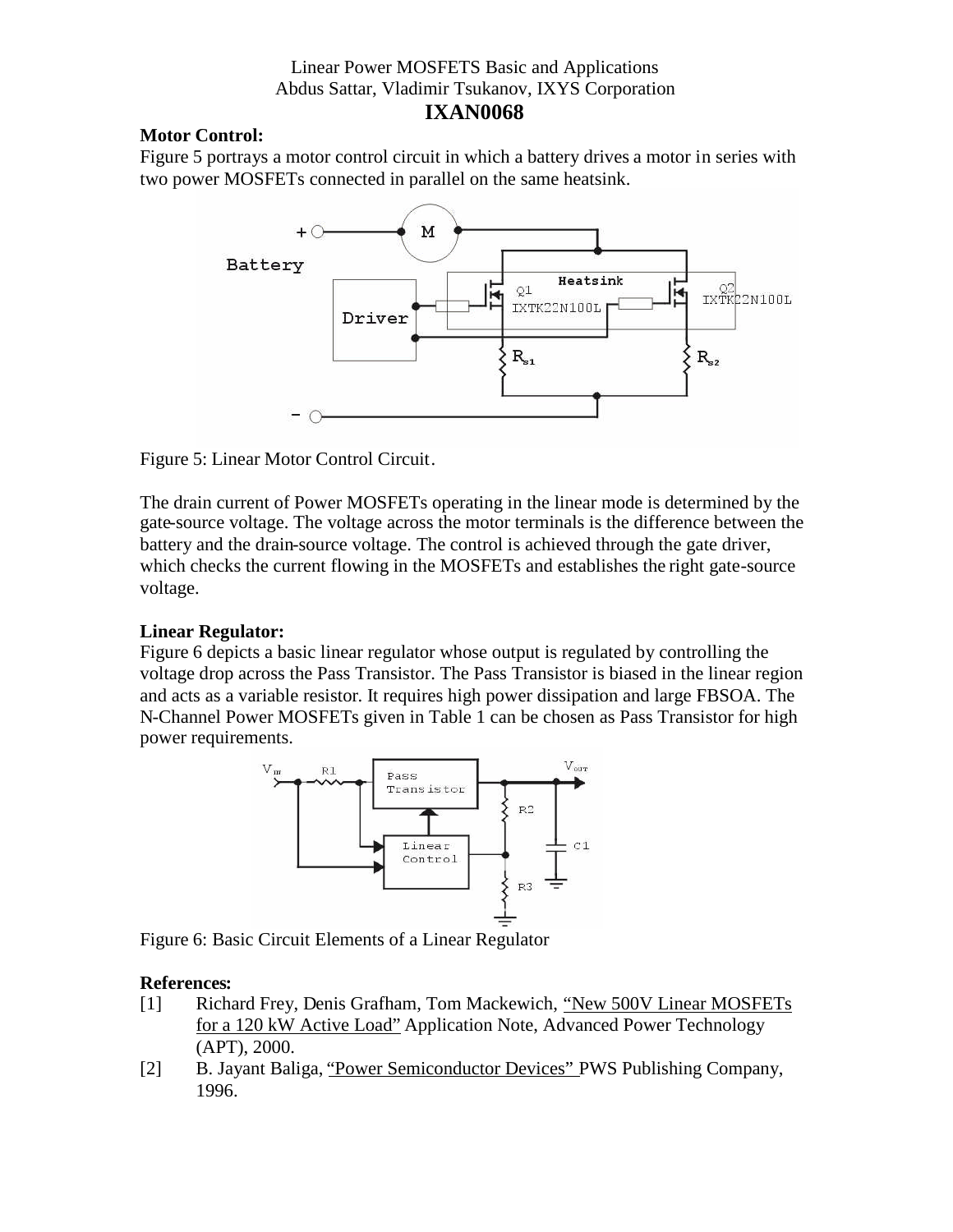## **IXAN0068**

### **Motor Control:**

Figure 5 portrays a motor control circuit in which a battery drives a motor in series with two power MOSFETs connected in parallel on the same heatsink.



Figure 5: Linear Motor Control Circuit.

The drain current of Power MOSFETs operating in the linear mode is determined by the gate-source voltage. The voltage across the motor terminals is the difference between the battery and the drain-source voltage. The control is achieved through the gate driver, which checks the current flowing in the MOSFETs and establishes the right gate-source voltage.

### **Linear Regulator:**

Figure 6 depicts a basic linear regulator whose output is regulated by controlling the voltage drop across the Pass Transistor. The Pass Transistor is biased in the linear region and acts as a variable resistor. It requires high power dissipation and large FBSOA. The N-Channel Power MOSFETs given in Table 1 can be chosen as Pass Transistor for high power requirements.



Figure 6: Basic Circuit Elements of a Linear Regulator

### **References:**

- [1] Richard Frey, Denis Grafham, Tom Mackewich, "New 500V Linear MOSFETs for a 120 kW Active Load" Application Note, Advanced Power Technology (APT), 2000.
- [2] B. Jayant Baliga, "Power Semiconductor Devices" PWS Publishing Company, 1996.